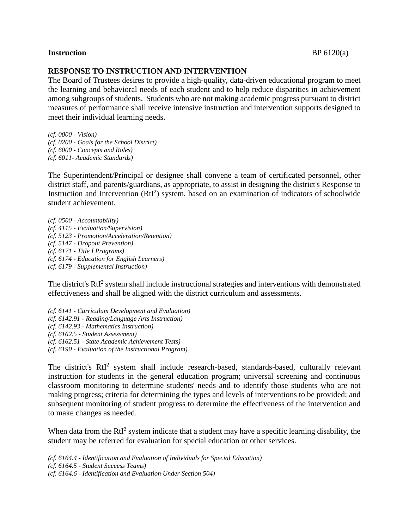## **Instruction** BP 6120(a)

## **RESPONSE TO INSTRUCTION AND INTERVENTION**

The Board of Trustees desires to provide a high-quality, data-driven educational program to meet the learning and behavioral needs of each student and to help reduce disparities in achievement among subgroups of students. Students who are not making academic progress pursuant to district measures of performance shall receive intensive instruction and intervention supports designed to meet their individual learning needs.

*(cf. 0000 - Vision) (cf. 0200 - Goals for the School District) (cf. 6000 - Concepts and Roles) (cf. 6011- Academic Standards)*

The Superintendent/Principal or designee shall convene a team of certificated personnel, other district staff, and parents/guardians, as appropriate, to assist in designing the district's Response to Instruction and Intervention  $(RtI^2)$  system, based on an examination of indicators of schoolwide student achievement.

*(cf. 0500 - Accountability) (cf. 4115 - Evaluation/Supervision) (cf. 5123 - Promotion/Acceleration/Retention) (cf. 5147 - Dropout Prevention) (cf. 6171 - Title I Programs) (cf. 6174 - Education for English Learners) (cf. 6179 - Supplemental Instruction)*

The district's RtI<sup>2</sup> system shall include instructional strategies and interventions with demonstrated effectiveness and shall be aligned with the district curriculum and assessments.

*(cf. 6141 - Curriculum Development and Evaluation) (cf. 6142.91 - Reading/Language Arts Instruction) (cf. 6142.93 - Mathematics Instruction) (cf. 6162.5 - Student Assessment) (cf. 6162.51 - State Academic Achievement Tests) (cf. 6190 - Evaluation of the Instructional Program)*

The district's RtI<sup>2</sup> system shall include research-based, standards-based, culturally relevant instruction for students in the general education program; universal screening and continuous classroom monitoring to determine students' needs and to identify those students who are not making progress; criteria for determining the types and levels of interventions to be provided; and subsequent monitoring of student progress to determine the effectiveness of the intervention and to make changes as needed.

When data from the  $RtI<sup>2</sup>$  system indicate that a student may have a specific learning disability, the student may be referred for evaluation for special education or other services.

*(cf. 6164.4 - Identification and Evaluation of Individuals for Special Education) (cf. 6164.5 - Student Success Teams) (cf. 6164.6 - Identification and Evaluation Under Section 504)*